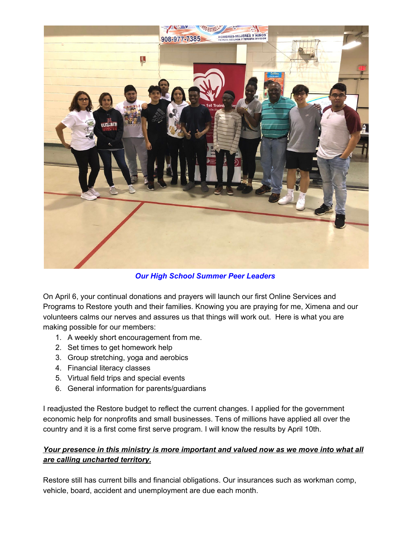

*Our High School Summer Peer Leaders*

On April 6, your continual donations and prayers will launch our first Online Services and Programs to Restore youth and their families. Knowing you are praying for me, Ximena and our volunteers calms our nerves and assures us that things will work out. Here is what you are making possible for our members:

- 1. A weekly short encouragement from me.
- 2. Set times to get homework help
- 3. Group stretching, yoga and aerobics
- 4. Financial literacy classes
- 5. Virtual field trips and special events
- 6. General information for parents/guardians

I readjusted the Restore budget to reflect the current changes. I applied for the government economic help for nonprofits and small businesses. Tens of millions have applied all over the country and it is a first come first serve program. I will know the results by April 10th.

## *Your presence in this ministry is more important and valued now as we move into what all are calling uncharted territory.*

Restore still has current bills and financial obligations. Our insurances such as workman comp, vehicle, board, accident and unemployment are due each month.